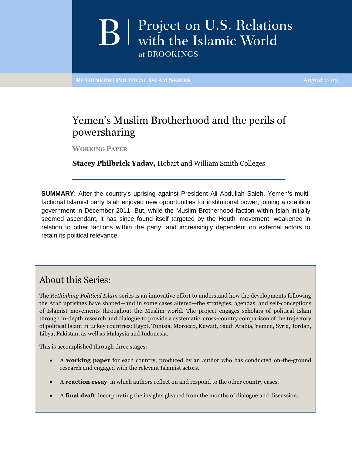## Project on U.S. Relations **B** Project on U.S. Relatio<br>with the Islamic World at BROOKINGS

**RETHINKING POLITICAL ISLAM SERIES** August 2015

### Yemen's Muslim Brotherhood and the perils of powersharing

**WORKING PAPER**

**Stacey Philbrick Yadav,** Hobart and William Smith Colleges

**SUMMARY**: After the country's uprising against President Ali Abdullah Saleh, Yemen's multifactional Islamist party Islah enjoyed new opportunities for institutional power, joining a coalition government in December 2011. But, while the Muslim Brotherhood faction within Islah initially seemed ascendant, it has since found itself targeted by the Houthi movement, weakened in relation to other factions within the party, and increasingly dependent on external actors to retain its political relevance.

### About this Series:

The *Rethinking Political Islam* series is an innovative effort to understand how the developments following the Arab uprisings have shaped—and in some cases altered—the strategies, agendas, and self-conceptions of Islamist movements throughout the Muslim world. The project engages scholars of political Islam through in-depth research and dialogue to provide a systematic, cross-country comparison of the trajectory of political Islam in 12 key countries: Egypt, Tunisia, Morocco, Kuwait, Saudi Arabia, Yemen, Syria, Jordan, Libya, Pakistan, as well as Malaysia and Indonesia.

This is accomplished through three stages:

- A **working paper** for each country, produced by an author who has conducted on-the-ground research and engaged with the relevant Islamist actors.
- A **reaction essay** in which authors reflect on and respond to the other country cases.
- A **final draft** incorporating the insights gleaned from the months of dialogue and discussion.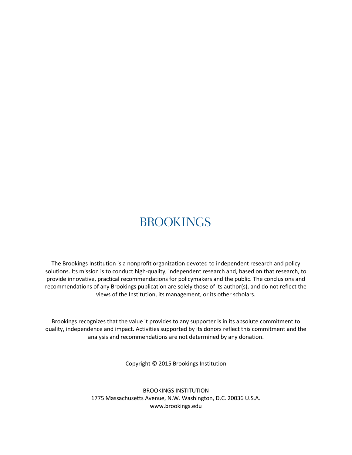# **BROOKINGS**

The Brookings Institution is a nonprofit organization devoted to independent research and policy solutions. Its mission is to conduct high-quality, independent research and, based on that research, to provide innovative, practical recommendations for policymakers and the public. The conclusions and recommendations of any Brookings publication are solely those of its author(s), and do not reflect the views of the Institution, its management, or its other scholars.

Brookings recognizes that the value it provides to any supporter is in its absolute commitment to quality, independence and impact. Activities supported by its donors reflect this commitment and the analysis and recommendations are not determined by any donation.

Copyright © 2015 Brookings Institution

BROOKINGS INSTITUTION 1775 Massachusetts Avenue, N.W. Washington, D.C. 20036 U.S.A. www.brookings.edu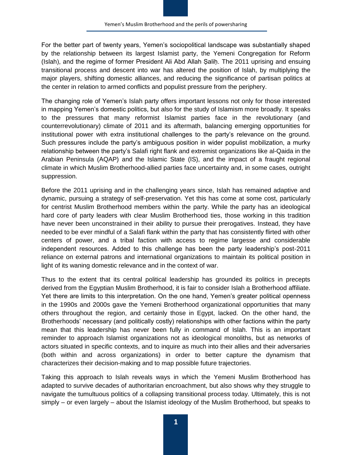For the better part of twenty years, Yemen's sociopolitical landscape was substantially shaped by the relationship between its largest Islamist party, the Yemeni Congregation for Reform (Islah), and the regime of former President Ali Abd Allah Ṣaliḥ. The 2011 uprising and ensuing transitional process and descent into war has altered the position of Islah, by multiplying the major players, shifting domestic alliances, and reducing the significance of partisan politics at the center in relation to armed conflicts and populist pressure from the periphery.

The changing role of Yemen's Islah party offers important lessons not only for those interested in mapping Yemen's domestic politics, but also for the study of Islamism more broadly. It speaks to the pressures that many reformist Islamist parties face in the revolutionary (and counterrevolutionary) climate of 2011 and its aftermath, balancing emerging opportunities for institutional power with extra institutional challenges to the party's relevance on the ground. Such pressures include the party's ambiguous position in wider populist mobilization, a murky relationship between the party's Salafi right flank and extremist organizations like al-Qaida in the Arabian Peninsula (AQAP) and the Islamic State (IS), and the impact of a fraught regional climate in which Muslim Brotherhood-allied parties face uncertainty and, in some cases, outright suppression.

Before the 2011 uprising and in the challenging years since, Islah has remained adaptive and dynamic, pursuing a strategy of self-preservation. Yet this has come at some cost, particularly for centrist Muslim Brotherhood members within the party. While the party has an ideological hard core of party leaders with clear Muslim Brotherhood ties, those working in this tradition have never been unconstrained in their ability to pursue their prerogatives. Instead, they have needed to be ever mindful of a Salafi flank within the party that has consistently flirted with other centers of power, and a tribal faction with access to regime largesse and considerable independent resources. Added to this challenge has been the party leadership's post-2011 reliance on external patrons and international organizations to maintain its political position in light of its waning domestic relevance and in the context of war.

Thus to the extent that its central political leadership has grounded its politics in precepts derived from the Egyptian Muslim Brotherhood, it is fair to consider Islah a Brotherhood affiliate. Yet there are limits to this interpretation. On the one hand, Yemen's greater political openness in the 1990s and 2000s gave the Yemeni Brotherhood organizational opportunities that many others throughout the region, and certainly those in Egypt, lacked. On the other hand, the Brotherhoods' necessary (and politically costly) relationships with other factions within the party mean that this leadership has never been fully in command of Islah. This is an important reminder to approach Islamist organizations not as ideological monoliths, but as networks of actors situated in specific contexts, and to inquire as much into their allies and their adversaries (both within and across organizations) in order to better capture the dynamism that characterizes their decision-making and to map possible future trajectories.

Taking this approach to Islah reveals ways in which the Yemeni Muslim Brotherhood has adapted to survive decades of authoritarian encroachment, but also shows why they struggle to navigate the tumultuous politics of a collapsing transitional process today. Ultimately, this is not simply – or even largely – about the Islamist ideology of the Muslim Brotherhood, but speaks to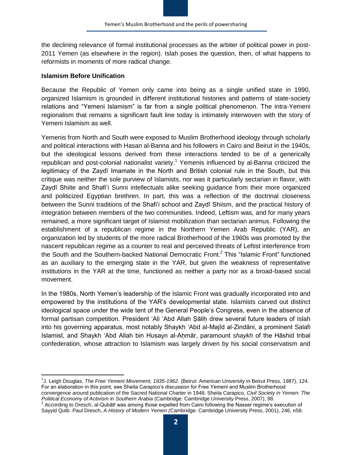the declining relevance of formal institutional processes as the arbiter of political power in post-2011 Yemen (as elsewhere in the region). Islah poses the question, then, of what happens to reformists in moments of more radical change.

#### **Islamism Before Unification**

 $\overline{\phantom{a}}$ 

Because the Republic of Yemen only came into being as a single unified state in 1990, organized Islamism is grounded in different institutional histories and patterns of state-society relations and "Yemeni Islamism" is far from a single political phenomenon. The intra-Yemeni regionalism that remains a significant fault line today is intimately interwoven with the story of Yemeni Islamism as well.

Yemenis from North and South were exposed to Muslim Brotherhood ideology through scholarly and political interactions with Hasan al-Banna and his followers in Cairo and Beirut in the 1940s, but the ideological lessons derived from these interactions tended to be of a generically republican and post-colonial nationalist variety.<sup>1</sup> Yemenis influenced by al-Banna criticized the legitimacy of the Zaydī Imamate in the North and British colonial rule in the South, but this critique was neither the sole purview of Islamists, nor was it particularly sectarian in flavor, with Zaydī Shiite and Shafi'i Sunni intellectuals alike seeking guidance from their more organized and politicized Egyptian brethren. In part, this was a reflection of the doctrinal closeness between the Sunni traditions of the Shafi'i school and Zaydī Shiism, and the practical history of integration between members of the two communities. Indeed, Leftism was, and for many years remained, a more significant target of Islamist mobilization than sectarian animus. Following the establishment of a republican regime in the Northern Yemen Arab Republic (YAR), an organization led by students of the more radical Brotherhood of the 1960s was promoted by the nascent republican regime as a counter to real and perceived threats of Leftist interference from the South and the Southern-backed National Democratic Front.<sup>2</sup> This "Islamic Front" functioned as an auxiliary to the emerging state in the YAR, but given the weakness of representative institutions in the YAR at the time, functioned as neither a party nor as a broad-based social movement.

In the 1980s, North Yemen's leadership of the Islamic Front was gradually incorporated into and empowered by the institutions of the YAR's developmental state. Islamists carved out distinct ideological space under the wide tent of the General People's Congress, even in the absence of formal partisan competition. President 'Ali 'Abd Allah Ṣāliḥ drew several future leaders of Islah into his governing apparatus, most notably Shaykh 'Abd al-Majīd al-Zindāni, a prominent Salafi Islamist, and Shaykh 'Abd Allah bin Husayn al-Aḥmār, paramount *shaykh* of the Hāshid tribal confederation, whose attraction to Islamism was largely driven by his social conservatism and

<sup>1</sup>J. Leigh Douglas, *The Free Yemeni Movement, 1935-1962.* (Beirut: American University in Beirut Press, 1987), 124. For an elaboration in this point, see Sheila Carapico's discussion for Free Yemeni and Muslim Brotherhood

convergence around publication of the Sacred National Charter in 1948. Sheila Carapico, *Civil Society in Yemen: The Political Economy of Activism in Southern Arabia* (Cambridge: Cambridge University Press, 2007), 98.

 $2$  According to Dresch, al-Qubātī was among those expelled from Cairo following the Nasser regime's execution of Sayyid Qutb. Paul Dresch, *A History of Modern Yemen (*Cambridge: Cambridge University Press, 2001), 246, n58.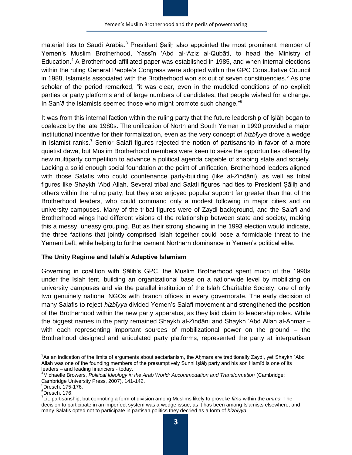material ties to Saudi Arabia.<sup>3</sup> President Sālih also appointed the most prominent member of Yemen's Muslim Brotherhood, Yassīn 'Abd al-'Aziz al-Qubāti, to head the Ministry of Education.<sup>4</sup> A Brotherhood-affiliated paper was established in 1985, and when internal elections within the ruling General People's Congress were adopted within the GPC Consultative Council in 1988, Islamists associated with the Brotherhood won six out of seven constituencies.<sup>5</sup> As one scholar of the period remarked, "it was clear, even in the muddled conditions of no explicit parties or party platforms and of large numbers of candidates, that people wished for a change. In San'a the Islamists seemed those who might promote such change."<sup>6</sup>

It was from this internal faction within the ruling party that the future leadership of Islāh began to coalesce by the late 1980s. The unification of North and South Yemen in 1990 provided a major institutional incentive for their formalization, even as the very concept of *hizbīyya* drove a wedge in Islamist ranks.<sup>7</sup> Senior Salafi figures rejected the notion of partisanship in favor of a more quietist dawa, but Muslim Brotherhood members were keen to seize the opportunities offered by new multiparty competition to advance a political agenda capable of shaping state and society. Lacking a solid enough social foundation at the point of unification, Brotherhood leaders aligned with those Salafis who could countenance party-building (like al-Zindāni), as well as tribal figures like Shaykh 'Abd Allah. Several tribal and Salafi figures had ties to President Sālih and others within the ruling party, but they also enjoyed popular support far greater than that of the Brotherhood leaders, who could command only a modest following in major cities and on university campuses. Many of the tribal figures were of Zaydi background, and the Salafi and Brotherhood wings had different visions of the relationship between state and society, making this a messy, uneasy grouping. But as their strong showing in the 1993 election would indicate, the three factions that jointly comprised Islah together could pose a formidable threat to the Yemeni Left, while helping to further cement Northern dominance in Yemen's political elite.

#### **The Unity Regime and Islah's Adaptive Islamism**

Governing in coalition with Sālih's GPC, the Muslim Brotherhood spent much of the 1990s under the Islah tent, building an organizational base on a nationwide level by mobilizing on university campuses and via the parallel institution of the Islah Charitable Society, one of only two genuinely national NGOs with branch offices in every governorate. The early decision of many Salafis to reject *hizbīyya* divided Yemen's Salafi movement and strengthened the position of the Brotherhood within the new party apparatus, as they laid claim to leadership roles. While the biggest names in the party remained Shaykh al-Zindāni and Shaykh 'Abd Allah al-Ahmar  $$ with each representing important sources of mobilizational power on the ground – the Brotherhood designed and articulated party platforms, represented the party at interpartisan

 3 As an indication of the limits of arguments about sectarianism, the Aḥmars are traditionally Zaydi, yet Shaykh ʿAbd Allah was one of the founding members of the presumptively Sunni Iṣlāḥ party and his son Hamīd is one of its leaders – and leading financiers - today.

<sup>4</sup>Michaelle Browers, *Political Ideology in the Arab World: Accommodation and Transformation* (Cambridge: Cambridge University Press, 2007), 141-142.

 ${}^{5}$ Dresch, 175-176.

<sup>6</sup>Dresch, 176.

<sup>7</sup> Lit. partisanship, but connoting a form of division among Muslims likely to provoke *fitna* within the *umma.* The decision to participate in an imperfect system was a wedge issue, as it has been among Islamists elsewhere, and many Salafis opted not to participate in partisan politics they decried as a form of *hizbīyya.*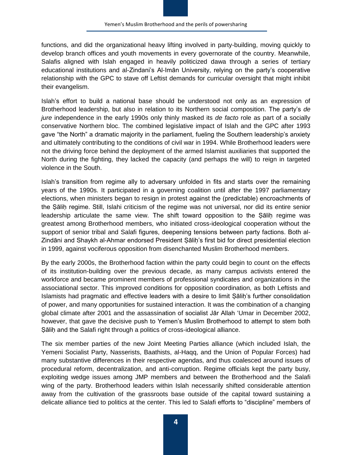functions, and did the organizational heavy lifting involved in party-building, moving quickly to develop branch offices and youth movements in every governorate of the country. Meanwhile, Salafis aligned with Islah engaged in heavily politicized dawa through a series of tertiary educational institutions and al-Zindani's Al-Imān University, relying on the party's cooperative relationship with the GPC to stave off Leftist demands for curricular oversight that might inhibit their evangelism.

Islah's effort to build a national base should be understood not only as an expression of Brotherhood leadership, but also in relation to its Northern social composition. The party's *de jure* independence in the early 1990s only thinly masked its *de facto* role as part of a socially conservative Northern bloc. The combined legislative impact of Islah and the GPC after 1993 gave "the North" a dramatic majority in the parliament, fueling the Southern leadership's anxiety and ultimately contributing to the conditions of civil war in 1994. While Brotherhood leaders were not the driving force behind the deployment of the armed Islamist auxiliaries that supported the North during the fighting, they lacked the capacity (and perhaps the will) to reign in targeted violence in the South.

Islah's transition from regime ally to adversary unfolded in fits and starts over the remaining years of the 1990s. It participated in a governing coalition until after the 1997 parliamentary elections, when ministers began to resign in protest against the (predictable) encroachments of the Ṣāliḥ regime. Still, Islahi criticism of the regime was not universal, nor did its entire senior leadership articulate the same view. The shift toward opposition to the Sālih regime was greatest among Brotherhood members, who initiated cross-ideological cooperation without the support of senior tribal and Salafi figures, deepening tensions between party factions. Both al-Zindāni and Shaykh al-Ahmar endorsed President Ṣāliḥ's first bid for direct presidential election in 1999, against vociferous opposition from disenchanted Muslim Brotherhood members.

By the early 2000s, the Brotherhood faction within the party could begin to count on the effects of its institution-building over the previous decade, as many campus activists entered the workforce and became prominent members of professional syndicates and organizations in the associational sector. This improved conditions for opposition coordination, as both Leftists and Islamists had pragmatic and effective leaders with a desire to limit Ṣāliḥ's further consolidation of power, and many opportunities for sustained interaction. It was the combination of a changing global climate after 2001 and the assassination of socialist Jār Allah 'Umar in December 2002, however, that gave the decisive push to Yemen's Muslim Brotherhood to attempt to stem both Sālih and the Salafi right through a politics of cross-ideological alliance.

The six member parties of the new Joint Meeting Parties alliance (which included Islah, the Yemeni Socialist Party, Nasserists, Baathists, al-Haqq, and the Union of Popular Forces) had many substantive differences in their respective agendas, and thus coalesced around issues of procedural reform, decentralization, and anti-corruption. Regime officials kept the party busy, exploiting wedge issues among JMP members and between the Brotherhood and the Salafi wing of the party. Brotherhood leaders within Islah necessarily shifted considerable attention away from the cultivation of the grassroots base outside of the capital toward sustaining a delicate alliance tied to politics at the center. This led to Salafi efforts to "discipline" members of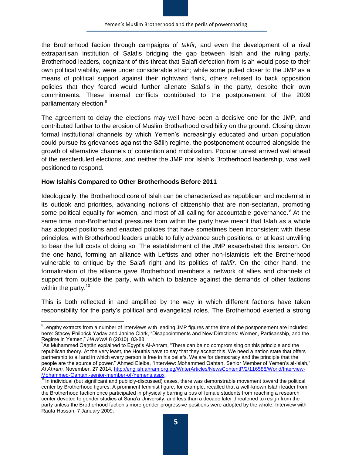the Brotherhood faction through campaigns of *takfir,* and even the development of a rival extrapartisan institution of Salafis bridging the gap between Islah and the ruling party. Brotherhood leaders, cognizant of this threat that Salafi defection from Islah would pose to their own political viability, were under considerable strain; while some pulled closer to the JMP as a means of political support against their rightward flank, others refused to back opposition policies that they feared would further alienate Salafis in the party, despite their own commitments. These internal conflicts contributed to the postponement of the 2009 parliamentary election.<sup>8</sup>

The agreement to delay the elections may well have been a decisive one for the JMP, and contributed further to the erosion of Muslim Brotherhood credibility on the ground. Closing down formal institutional channels by which Yemen's increasingly educated and urban population could pursue its grievances against the Sālih regime, the postponement occurred alongside the growth of alternative channels of contention and mobilization. Popular unrest arrived well ahead of the rescheduled elections, and neither the JMP nor Islah's Brotherhood leadership, was well positioned to respond.

#### **How Islahis Compared to Other Brotherhoods Before 2011**

Ideologically, the Brotherhood core of Islah can be characterized as republican and modernist in its outlook and priorities, advancing notions of citizenship that are non-sectarian, promoting some political equality for women, and most of all calling for accountable governance.<sup>9</sup> At the same time, non-Brotherhood pressures from within the party have meant that Islah as a whole has adopted positions and enacted policies that have sometimes been inconsistent with these principles, with Brotherhood leaders unable to fully advance such positions, or at least unwilling to bear the full costs of doing so. The establishment of the JMP exacerbated this tension. On the one hand, forming an alliance with Leftists and other non-Islamists left the Brotherhood vulnerable to critique by the Salafi right and its politics of *takfīr*. On the other hand, the formalization of the alliance gave Brotherhood members a network of allies and channels of support from outside the party, with which to balance against the demands of other factions within the party.<sup>10</sup>

This is both reflected in and amplified by the way in which different factions have taken responsibility for the party's political and evangelical roles. The Brotherhood exerted a strong

<sup>&</sup>lt;sup>8</sup><br>Lengthy extracts from a number of interviews with leading JMP figures at the time of the postponement are included here: Stacey Philbrick Yadav and Janine Clark, "Disappointments and New Directions: Women, Partisanship, and the Regime in Yemen," *HAWWA* 8 (2010): 83-88.

<sup>9</sup> As Muhammed Qaḥtān explained to Egypt's Al-Ahram, "There can be no compromising on this principle and the republican theory. At the very least, the Houthis have to say that they accept this. We need a nation state that offers partnership to all and in which every person is free in his beliefs. We are for democracy and the principle that the people are the source of power." Ahmed Eleiba, "Interview: Mohammed Qahtan, Senior Member of Yemen's al-Islah," *Al Ahram,* November, 27 2014, [http://english.ahram.org.eg/WriterArticles/NewsContentP/2/116588/World/Interview-](http://english.ahram.org.eg/WriterArticles/NewsContentP/2/116588/World/Interview-Mohammed-Qahtan,-senior-member-of-Yemens.aspx)[Mohammed-Qahtan,-senior-member-of-Yemens.aspx.](http://english.ahram.org.eg/WriterArticles/NewsContentP/2/116588/World/Interview-Mohammed-Qahtan,-senior-member-of-Yemens.aspx)

<sup>&</sup>lt;sup>10</sup>In individual (but significant and publicly-discussed) cases, there was demonstrable movement toward the political center by Brotherhood figures. A prominent feminist figure, for example, recalled that a well-known Islahi leader from the Brotherhood faction once participated in physically barring a bus of female students from reaching a research center devoted to gender studies at Sana'a University, and less than a decade later threatened to resign from the party unless the Brotherhood faction's more gender progressive positions were adopted by the whole. Interview with Raufa Hassan, 7 January 2009.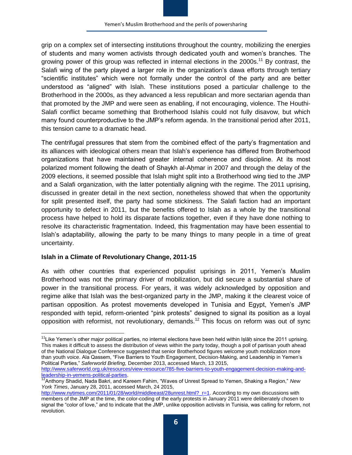grip on a complex set of intersecting institutions throughout the country, mobilizing the energies of students and many women activists through dedicated youth and women's branches. The growing power of this group was reflected in internal elections in the 2000s.<sup>11</sup> By contrast, the Salafi wing of the party played a larger role in the organization's dawa efforts through tertiary "scientific institutes" which were not formally under the control of the party and are better understood as "aligned" with Islah. These institutions posed a particular challenge to the Brotherhood in the 2000s, as they advanced a less republican and more sectarian agenda than that promoted by the JMP and were seen as enabling, if not encouraging, violence. The Houthi-Salafi conflict became something that Brotherhood Islahis could not fully disavow, but which many found counterproductive to the JMP's reform agenda. In the transitional period after 2011, this tension came to a dramatic head.

The centrifugal pressures that stem from the combined effect of the party's fragmentation and its alliances with ideological others mean that Islah's experience has differed from Brotherhood organizations that have maintained greater internal coherence and discipline. At its most polarized moment following the death of Shaykh al-Aḥmar in 2007 and through the delay of the 2009 elections, it seemed possible that Islah might split into a Brotherhood wing tied to the JMP and a Salafi organization, with the latter potentially aligning with the regime. The 2011 uprising, discussed in greater detail in the next section, nonetheless showed that when the opportunity for split presented itself, the party had some stickiness. The Salafi faction had an important opportunity to defect in 2011, but the benefits offered to Islah as a whole by the transitional process have helped to hold its disparate factions together, even if they have done nothing to resolve its characteristic fragmentation. Indeed, this fragmentation may have been essential to Islah's adaptability, allowing the party to be many things to many people in a time of great uncertainty.

#### **Islah in a Climate of Revolutionary Change, 2011-15**

As with other countries that experienced populist uprisings in 2011, Yemen's Muslim Brotherhood was not the primary driver of mobilization, but did secure a substantial share of power in the transitional process. For years, it was widely acknowledged by opposition and regime alike that Islah was the best-organized party in the JMP, making it the clearest voice of partisan opposition. As protest movements developed in Tunisia and Egypt, Yemen's JMP responded with tepid, reform-oriented "pink protests" designed to signal its position as a loyal opposition with reformist, not revolutionary, demands.<sup>12</sup> This focus on reform was out of sync

 $\overline{\phantom{a}}$ <sup>11</sup>Like Yemen's other major political parties, no internal elections have been held within Ișlāḥ since the 2011 uprising. This makes it difficult to assess the distribution of views within the party today, though a poll of partisan youth ahead of the National Dialogue Conference suggested that senior Brotherhood figures welcome youth mobilization more than youth voice. Ala Qassem, "Five Barriers to Youth Engagement, Decision-Making, and Leadership in Yemen's Political Parties," *Saferworld Briefing,* December 2013, accessed March, 13 2015,

[http://www.saferworld.org.uk/resources/view-resource/785-five-barriers-to-youth-engagement-decision-making-and](http://www.saferworld.org.uk/resources/view-resource/785-five-barriers-to-youth-engagement-decision-making-and-leadership-in-yemens-political-parties)[leadership-in-yemens-political-parties.](http://www.saferworld.org.uk/resources/view-resource/785-five-barriers-to-youth-engagement-decision-making-and-leadership-in-yemens-political-parties)

<sup>12</sup>Anthony Shadid, Nada Bakri, and Kareem Fahim, "Waves of Unrest Spread to Yemen, Shaking a Region," *New York Times*, January 28, 2011, accessed March, 24 2015,

[http://www.nytimes.com/2011/01/28/world/middleeast/28unrest.html?\\_r=1.](http://www.nytimes.com/2011/01/28/world/middleeast/28unrest.html?_r=1) According to my own discussions with members of the JMP at the time, the color-coding of the early protests in January 2011 were deliberately chosen to signal the "color of love," and to indicate that the JMP, unlike opposition activists in Tunisia, was calling for reform, not revolution.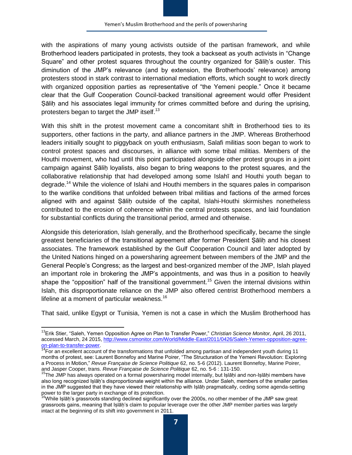with the aspirations of many young activists outside of the partisan framework, and while Brotherhood leaders participated in protests, they took a backseat as youth activists in "Change Square" and other protest squares throughout the country organized for Sālih's ouster. This diminution of the JMP's relevance (and by extension, the Brotherhoods' relevance) among protesters stood in stark contrast to international mediation efforts, which sought to work directly with organized opposition parties as representative of "the Yemeni people." Once it became clear that the Gulf Cooperation Council-backed transitional agreement would offer President Sālih and his associates legal immunity for crimes committed before and during the uprising, protesters began to target the JMP itself.<sup>13</sup>

With this shift in the protest movement came a concomitant shift in Brotherhood ties to its supporters, other factions in the party, and alliance partners in the JMP. Whereas Brotherhood leaders initially sought to piggyback on youth enthusiasm, Salafi militias soon began to work to control protest spaces and discourses, in alliance with some tribal militias. Members of the Houthi movement, who had until this point participated alongside other protest groups in a joint campaign against Ṣāliḥ loyalists, also began to bring weapons to the protest squares, and the collaborative relationship that had developed among some Islahī and Houthi youth began to degrade.<sup>14</sup> While the violence of Islahi and Houthi members in the squares pales in comparison to the warlike conditions that unfolded between tribal militias and factions of the armed forces aligned with and against Sālih outside of the capital, Islahi-Houthi skirmishes nonetheless contributed to the erosion of coherence within the central protests spaces, and laid foundation for substantial conflicts during the transitional period, armed and otherwise.

Alongside this deterioration, Islah generally, and the Brotherhood specifically, became the single greatest beneficiaries of the transitional agreement after former President Salih and his closest associates. The framework established by the Gulf Cooperation Council and later adopted by the United Nations hinged on a powersharing agreement between members of the JMP and the General People's Congress; as the largest and best-organized member of the JMP, Islah played an important role in brokering the JMP's appointments, and was thus in a position to heavily shape the "opposition" half of the transitional government.<sup>15</sup> Given the internal divisions within Islah, this disproportionate reliance on the JMP also offered centrist Brotherhood members a lifeline at a moment of particular weakness.<sup>16</sup>

That said, unlike Egypt or Tunisia, Yemen is not a case in which the Muslim Brotherhood has

 $\overline{\phantom{a}}$ 

<sup>13</sup>Erik Stier, "Saleh, Yemen Opposition Agree on Plan to Transfer Power," *Christian Science Monitor,* April, 26 2011, accessed March, 24 2015, [http://www.csmonitor.com/World/Middle-East/2011/0426/Saleh-Yemen-opposition-agree](http://www.csmonitor.com/World/Middle-East/2011/0426/Saleh-Yemen-opposition-agree-on-plan-to-transfer-power)[on-plan-to-transfer-power.](http://www.csmonitor.com/World/Middle-East/2011/0426/Saleh-Yemen-opposition-agree-on-plan-to-transfer-power)

 $14$ For an excellent account of the transformations that unfolded among partisan and independent youth during 11 months of protest, see: Laurent Bonnefoy and Marine Poirer, "The Structuration of the Yemeni Revolution: Exploring a Process in Motion," *Revue Française de Science Politique* 62, no. 5-6 (2012). Laurent Bonnefoy, Marine Poirer, and Jasper Cooper, trans. *Revue Française de Science Politique* 62, no. 5-6 : 131-150.

<sup>&</sup>lt;sup>15</sup>The JMP has always operated on a formal powersharing model internally, but Iṣlāḥi and non-Iṣlāḥi members have also long recognized Iṣlāḥ's disproportionate weight within the alliance. Under Saleh, members of the smaller parties in the JMP suggested that they have viewed their relationship with Islāh pragmatically, ceding some agenda-setting power to the larger party in exchange of its protection.

<sup>&</sup>lt;sup>16</sup>While Islāḥ's grassroots standing declined significantly over the 2000s, no other member of the JMP saw great grassroots gains, meaning that Islah's claim to popular leverage over the other JMP member parties was largely intact at the beginning of its shift into government in 2011.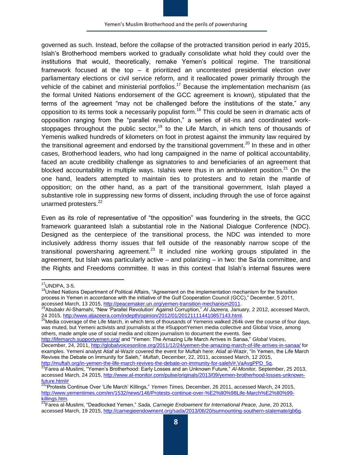governed as such. Instead, before the collapse of the protracted transition period in early 2015, Islah's Brotherhood members worked to gradually consolidate what hold they could over the institutions that would, theoretically, remake Yemen's political regime. The transitional framework focused at the top – it prioritized an uncontested presidential election over parliamentary elections or civil service reform, and it reallocated power primarily through the vehicle of the cabinet and ministerial portfolios.<sup>17</sup> Because the implementation mechanism (as the formal United Nations endorsement of the GCC agreement is known), stipulated that the terms of the agreement "may not be challenged before the institutions of the state," any opposition to its terms took a necessarily populist form.<sup>18</sup> This could be seen in dramatic acts of opposition ranging from the "parallel revolution," a series of sit-ins and coordinated workstoppages throughout the public sector,<sup>19</sup> to the Life March, in which tens of thousands of Yemenis walked hundreds of kilometers on foot in protest against the immunity law required by the transitional agreement and endorsed by the transitional government.<sup>20</sup> In these and in other cases, Brotherhood leaders, who had long campaigned in the name of political accountability, faced an acute credibility challenge as signatories to and beneficiaries of an agreement that blocked accountability in multiple ways. Islahis were thus in an ambivalent position. $21$  On the one hand, leaders attempted to maintain ties to protesters and to retain the mantle of opposition; on the other hand, as a part of the transitional government, Islah played a substantive role in suppressing new forms of dissent, including through the use of force against unarmed protesters.<sup>22</sup>

Even as its role of representative of "the opposition" was foundering in the streets, the GCC framework guaranteed Islah a substantial role in the National Dialogue Conference (NDC). Designed as the centerpiece of the transitional process, the NDC was intended to more inclusively address thorny issues that fell outside of the reasonably narrow scope of the transitional powersharing agreement.<sup>23</sup> It included nine working groups stipulated in the agreement, but Islah was particularly active – and polarizing – in two: the Sa'da committee, and the Rights and Freedoms committee. It was in this context that Islah's internal fissures were

 $\overline{a}$  $17$ UNDPA, 3-5.

<sup>&</sup>lt;sup>18</sup>United Nations Department of Political Affairs, "Agreement on the implementation mechanism for the transition process in Yemen in accordance with the initiative of the Gulf Cooperation Council (GCC)," December, 5 2011, accessed March, 13 2015, [http://peacemaker.un.org/yemen-transition-mechanism2011.](http://peacemaker.un.org/yemen-transition-mechanism2011)

<sup>19</sup>Abubakr Al-Shamahi, "New 'Parallel Revolution' Against Corruption," *Al Jazeera,* January, 2 2012, accessed March, 24 2015[, http://www.aljazeera.com/indepth/opinion/2012/01/201211114410857143.html.](http://www.aljazeera.com/indepth/opinion/2012/01/201211114410857143.html)

<sup>&</sup>lt;sup>20</sup>Media coverage of the Life March, in which tens of thousands of Yemenis walked 264k over the course of four days, was muted, but Yemeni activists and journalists at the #SupportYemen media collective and Global Voice, among others, made ample use of social media and citizen journalism to document the events. See

<http://lifemarch.supportyemen.org/> and "Yemen: The Amazing Life March Arrives in Sanaa," *Global Voices*, December, 24, 2011[, http://globalvoicesonline.org/2011/12/24/yemen-the-amazing-march-of-life-arrives-in-sanaa/](http://globalvoicesonline.org/2011/12/24/yemen-the-amazing-march-of-life-arrives-in-sanaa/) for examples. Yemeni analyst Atiaf al-Wazir covered the event for Muftah here: Atiaf al-Wazir, "In Yemen, the Life March Revives the Debate on Immunity for Saleh," *Muftah*, December, 22, 2011, accessed March, 12 2015, [http://muftah.org/in-yemen-the-life-march-revives-the-debate-on-immunity-for-saleh/#.VaAvgPPD\\_5q.](http://muftah.org/in-yemen-the-life-march-revives-the-debate-on-immunity-for-saleh/#.VaAvgPPD_5q)

<sup>21</sup>Farea al-Muslimi, "Yemen's Brotherhood: Early Losses and an Unknown Future," *Al-Monitor,* September, 25 2013, accessed March, 24 2015, [http://www.al-monitor.com/pulse/originals/2013/09/yemen-brotherhood-losses-unknown](http://www.al-monitor.com/pulse/originals/2013/09/yemen-brotherhood-losses-unknown-future.html)[future.html#](http://www.al-monitor.com/pulse/originals/2013/09/yemen-brotherhood-losses-unknown-future.html)

<sup>22</sup>"Protests Continue Over 'Life March' Killings," *Yemen Times,* December, 26 2011, accessed March, 24 2015, [http://www.yementimes.com/en/1532/news/146/Protests-continue-over-%E2%80%98Life-March%E2%80%99](http://www.yementimes.com/en/1532/news/146/Protests-continue-over-%E2%80%98Life-March%E2%80%99-killings.htm) [killings.htm.](http://www.yementimes.com/en/1532/news/146/Protests-continue-over-%E2%80%98Life-March%E2%80%99-killings.htm)

<sup>23</sup>Farea al-Muslimi, "Deadlocked Yemen," *Sada, Carnegie Endowment for International Peace,* June, 20 2013, accessed March, 19 2015, [http://carnegieendowment.org/sada/2013/06/20/surmounting-southern-stalemate/gb6g.](http://carnegieendowment.org/sada/2013/06/20/surmounting-southern-stalemate/gb6g)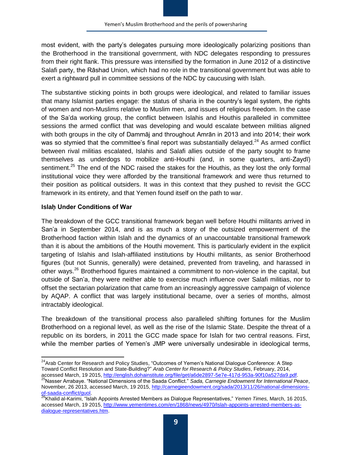most evident, with the party's delegates pursuing more ideologically polarizing positions than the Brotherhood in the transitional government, with NDC delegates responding to pressures from their right flank. This pressure was intensified by the formation in June 2012 of a distinctive Salafi party, the Rāshad Union, which had no role in the transitional government but was able to exert a rightward pull in committee sessions of the NDC by caucusing with Islah.

The substantive sticking points in both groups were ideological, and related to familiar issues that many Islamist parties engage: the status of sharia in the country's legal system, the rights of women and non-Muslims relative to Muslim men, and issues of religious freedom. In the case of the Sa'da working group, the conflict between Islahis and Houthis paralleled in committee sessions the armed conflict that was developing and would escalate between militias aligned with both groups in the city of Dammāj and throughout Amrān in 2013 and into 2014; their work was so stymied that the committee's final report was substantially delayed.<sup>24</sup> As armed conflict between rival militias escalated, Islahis and Salafi allies outside of the party sought to frame themselves as underdogs to mobilize anti-Houthi (and, in some quarters, anti-Zaydī) sentiment.<sup>25</sup> The end of the NDC raised the stakes for the Houthis, as they lost the only formal institutional voice they were afforded by the transitional framework and were thus returned to their position as political outsiders. It was in this context that they pushed to revisit the GCC framework in its entirety, and that Yemen found itself on the path to war.

#### **Islaḥ Under Conditions of War**

The breakdown of the GCC transitional framework began well before Houthi militants arrived in San'a in September 2014, and is as much a story of the outsized empowerment of the Brotherhood faction within Islah and the dynamics of an unaccountable transitional framework than it is about the ambitions of the Houthi movement. This is particularly evident in the explicit targeting of Islahis and Islah-affiliated institutions by Houthi militants, as senior Brotherhood figures (but not Sunnis, generally) were detained, prevented from traveling, and harassed in other ways.<sup>26</sup> Brotherhood figures maintained a commitment to non-violence in the capital, but outside of San'a, they were neither able to exercise much influence over Salafi militias, nor to offset the sectarian polarization that came from an increasingly aggressive campaign of violence by AQAP. A conflict that was largely institutional became, over a series of months, almost intractably ideological.

The breakdown of the transitional process also paralleled shifting fortunes for the Muslim Brotherhood on a regional level, as well as the rise of the Islamic State. Despite the threat of a republic on its borders, in 2011 the GCC made space for Islah for two central reasons. First, while the member parties of Yemen's JMP were universally undesirable in ideological terms,

 $\overline{\phantom{a}}$ <sup>24</sup>Arab Center for Research and Policy Studies, "Outcomes of Yemen's National Dialogue Conference: A Step Toward Conflict Resolution and State-Building?" *Arab Center for Research & Policy Studies*, February, 2014, accessed March, 19 2015, [http://english.dohainstitute.org/file/get/a6de2897-5e7e-417d-953a-90f10a527da9.pdf.](http://english.dohainstitute.org/file/get/a6de2897-5e7e-417d-953a-90f10a527da9.pdf) <sup>25</sup>Nasser Arrabaye. "National Dimensions of the Saada Conflict." *Sada, Carnegie Endowment for International Peace*, November, 26 2013, accessed March, 19 2015, [http://carnegieendowment.org/sada/2013/11/26/national-dimensions-](http://carnegieendowment.org/sada/2013/11/26/national-dimensions-of-saada-conflict/guol)

[of-saada-conflict/guol.](http://carnegieendowment.org/sada/2013/11/26/national-dimensions-of-saada-conflict/guol)

<sup>&</sup>lt;sup>26</sup>Khalid al-Karimi, "Islah Appoints Arrested Members as Dialogue Representatives," *Yemen Times, M*arch, 16 2015, accessed March, 19 2015, [http://www.yementimes.com/en/1868/news/4970/Islah-appoints-arrested-members-as](http://www.yementimes.com/en/1868/news/4970/Islah-appoints-arrested-members-as-dialogue-representatives.htm)[dialogue-representatives.htm.](http://www.yementimes.com/en/1868/news/4970/Islah-appoints-arrested-members-as-dialogue-representatives.htm)